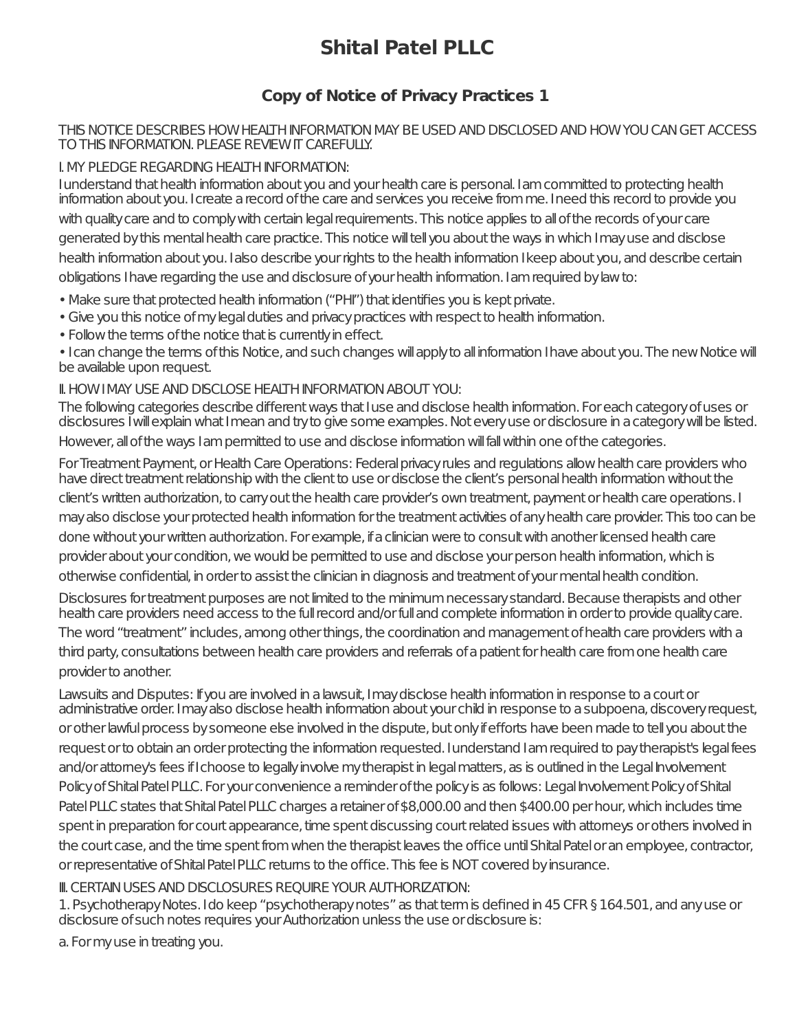# **Shital Patel PLLC**

# **Copy of Notice of Privacy Practices 1**

#### THIS NOTICE DESCRIBES HOW HEALTH INFORMATION MAY BE USED AND DISCLOSED AND HOW YOU CAN GET ACCESS TO THIS INFORMATION. PLEASE REVIEW IT CAREFULLY.

# I.MY PLEDGEREGARDING HEALTHINFORMATION:

I understand that health information about you and your health care is personal. I am committed to protecting health information about you. I create a record of the care and services you receive from me. I need this record to provide you with quality care and to comply with certain legal requirements. This notice applies to all of the records of your care generated by this mental health care practice. This notice will tell you about the ways in which I may use and disclose health information about you. I also describe your rights to the health information I keep about you, and describe certain obligations I have regarding the use and disclosure of your health information. I am required by law to:

- Make sure that protected health information ("PHI") that identifies you is kept private.
- Give you this notice of my legal duties and privacy practices with respect to health information.
- Follow the terms of the notice that is currently in effect.

• I can change the terms of this Notice, and such changes will apply to all information I have about you. The new Notice will be available upon request.

### II.HOWIMAY USEAND DISCLOSE HEALTHINFORMATIONABOUT YOU:

The following categories describe different ways that I use and disclose health information. For each category of uses or disclosures I will explain what I mean and tryto give some examples. Not every use or disclosure in a category will be listed. However, all of the ways I am permitted to use and disclose information will fall within one of the categories.

For Treatment Payment, or Health Care Operations: Federal privacy rules and regulations allow health care providers who have direct treatment relationship with the client to use or disclose the client's personal health information without the client's written authorization, to carry out the health care provider's own treatment, payment or health care operations. I may also disclose your protected health information for the treatment activities of any health care provider. This too can be done without your written authorization. For example, if a clinician were to consult with another licensed health care provider about your condition, we would be permitted to use and disclose your person health information, which is otherwise confidential, in order to assist the clinician in diagnosis and treatment of your mental health condition.

Disclosures for treatment purposes are not limited to the minimum necessary standard. Because therapists and other health care providers need access to the full record and/or full and complete information in order to provide quality care. The word "treatment" includes, among other things, the coordination and management of health care providers with a third party, consultations between health care providers and referrals of a patient for health care from one health care providerto another.

Lawsuits and Disputes: If you are involved in a lawsuit. I may disclose health information in response to a court or administrative order. I may also disclose health information about your child in response to a subpoena, discovery request, or other lawful process by someone else involved in the dispute, but only if efforts have been made to tell you about the request or to obtain an order protecting the information requested. I understand I am required to pay therapist's legalfees and/orattorney's fees if I choose to legally involve my therapist in legal matters, as is outlined in the Legal Involvement Policy of Shital Patel PLLC. For your convenience a reminder of the policy is as follows: Legal Involvement Policy of Shital Patel PLLC states that Shital Patel PLLC charges a retainer of \$8,000.00 and then \$400.00 per hour, which includes time spent in preparation for court appearance, time spent discussing court related issues with attorneys or others involved in the court case, and the time spent from when the therapist leaves the office until Shital Patel or an employee, contractor, or representative of Shital Patel PLLC returns to the office. This fee is NOT covered by insurance.

## **III. CERTAIN USES AND DISCLOSURES REQUIRE YOUR AUTHORIZATION:**

1. Psychotherapy Notes. I do keep "psychotherapy notes" as that term is defined in 45 CFR § 164.501, and any use or disclosure of such notes requires your Authorization unless the use or disclosure is:

a. For my use in treating you.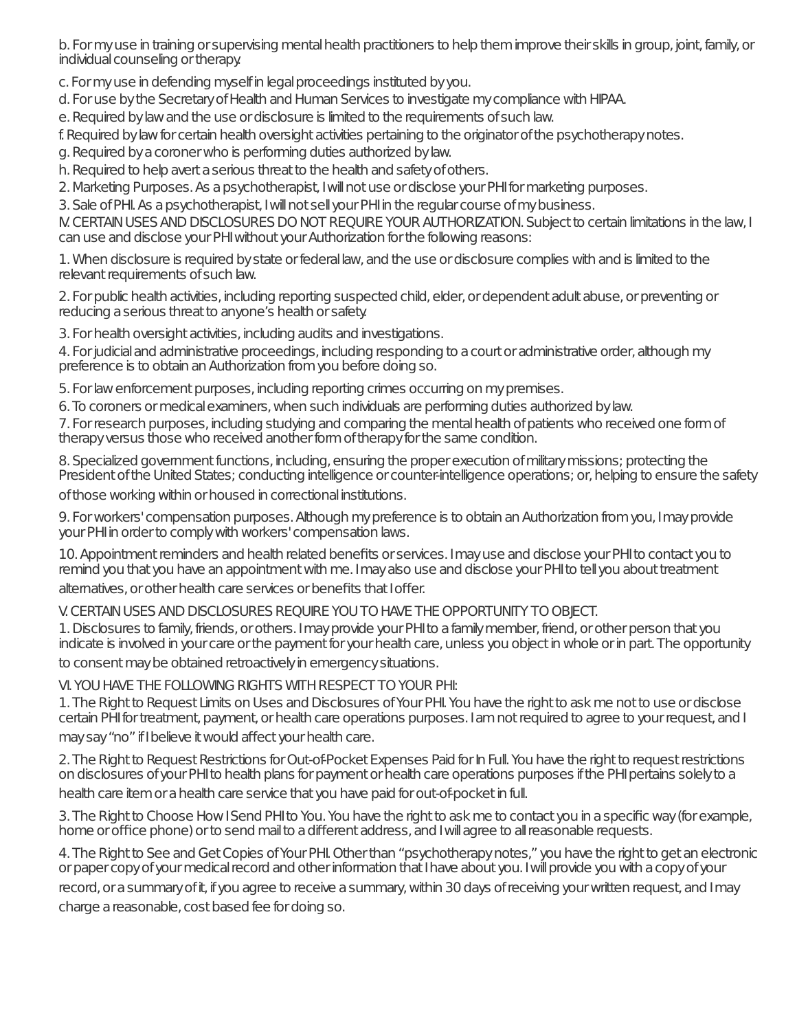b. For my use in training or supervising mental health practitioners to help them improve their skills in group, joint, family, or individual counseling or therapy.

c. For my use in defending myself in legal proceedings instituted by you.

d. For use by the Secretary of Health and Human Services to investigate my compliance with HIPAA.

e. Required by law and the use or disclosure is limited to the requirements of such law.

f. Required by law for certain health oversight activities pertaining to the originator of the psychotherapy notes.

g. Required by a coroner who is performing duties authorized by law.

h. Required to help avert a serious threat to the health and safety of others.

2. Marketing Purposes. As a psychotherapist, I will not use or disclose your PHI for marketing purposes.

3. Sale of PHI. As a psychotherapist, I will not sell your PHI in the regular course of my business.

M. CERTAIN USES AND DISCLOSURES DO NOT REQUIRE YOUR AUTHORIZATION. Subject to certain limitations in the law, I can use and disclose your PHI without your Authorization for the following reasons:

1. When disclosure is required by state or federal law, and the use or disclosure complies with and is limited to the relevant requirements of such law.

2. For public health activities, including reporting suspected child, elder, or dependent adult abuse, or preventing or reducing a serious threat to anyone's health or safety.

3. For health oversight activities, including audits and investigations.

4. For judicial and administrative proceedings, including responding to a court or administrative order, although my preference is to obtain an Authorization from you before doing so.

5. For law enforcement purposes, including reporting crimes occurring on my premises.

6. To coroners or medical examiners, when such individuals are performing duties authorized by law.

7. For research purposes, including studying and comparing the mental health of patients who received one form of therapy versus those who received another form of therapy for the same condition.

8. Specialized government functions, including, ensuring the proper execution of military missions; protecting the President of the United States; conducting intelligence or counter-intelligence operations; or, helping to ensure the safety

of those working within or housed in correctional institutions.

9. For workers' compensation purposes. Although my preference is to obtain an Authorization from you, I may provide your PHI in order to comply with workers' compensation laws.

10. Appointment reminders and health related benefits or services. I may use and disclose your PHI to contact you to remind you that you have an appointment with me. I may also use and disclose your PHI to tell you about treatment altematives, or other health care services or benefits that I offer.

V. CERTAIN USES AND DISCLOSURES REOUIRE YOU TO HAVE THE OPPORTUNITY TO OBIECT.

1. Disclosures to family, friends, or others. I may provide your PHI to a family member, friend, or other person that you indicate is involved in your care or the payment for your health care, unless you object in whole or in part. The opportunity to consent may be obtained retroactively in emergency situations.

VI. YOU HAVE THE FOLLOWING RIGHTS WITH RESPECT TO YOUR PHI:

1. The Right to Request Limits on Uses and Disclosures of Your PHI. You have the right to ask me not to use or disclose certain PHI for treatment, payment, or health care operations purposes. Iam not required to agree to your request, and I

may say "no" if I believe it would affect your health care.

2. The Right to Request Restrictions for Out-of-Pocket Expenses Paid for In Full. You have the right to request restrictions on disclosures of your PHI to health plans for payment or health care operations purposes if the PHI pertains solely to a health care item or a health care service that you have paid for out-of-pocket in full.

3. The Right to Choose How I Send PHI to You. You have the right to ask me to contact you in a specific way (for example, home or office phone) or to send mail to a different address, and I will agree to all reasonable requests.

4. The Right to See and Get Copies of Your PHI. Other than "psychotherapy notes," you have the right to get an electronic or paper copy of your medical record and other information that I have about you. I will provide you with a copy of your

record, or a summary of it, if you agree to receive a summary, within 30 days of receiving your written request, and I may charge a reasonable, cost based fee for doing so.